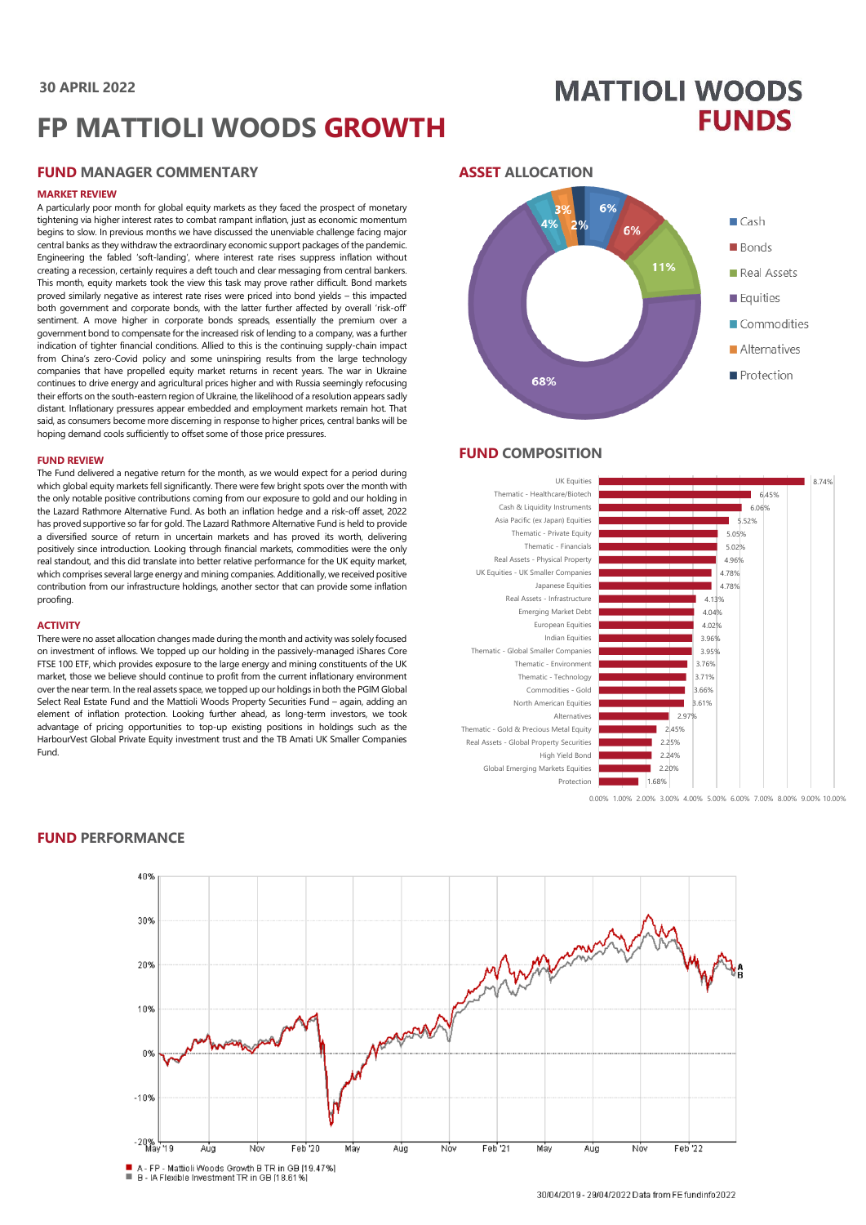# **30 APRIL 2022**

# **FP MATTIOLI WOODS GROWTH**

# **FUND MANAGER COMMENTARY**

#### **MARKET REVIEW**

A particularly poor month for global equity markets as they faced the prospect of monetary tightening via higher interest rates to combat rampant inflation, just as economic momentum begins to slow. In previous months we have discussed the unenviable challenge facing major central banks as they withdraw the extraordinary economic support packages of the pandemic. Engineering the fabled 'soft-landing', where interest rate rises suppress inflation without creating a recession, certainly requires a deft touch and clear messaging from central bankers. This month, equity markets took the view this task may prove rather difficult. Bond markets proved similarly negative as interest rate rises were priced into bond yields – this impacted both government and corporate bonds, with the latter further affected by overall 'risk-off' sentiment. A move higher in corporate bonds spreads, essentially the premium over a government bond to compensate for the increased risk of lending to a company, was a further indication of tighter financial conditions. Allied to this is the continuing supply-chain impact from China's zero-Covid policy and some uninspiring results from the large technology companies that have propelled equity market returns in recent years. The war in Ukraine continues to drive energy and agricultural prices higher and with Russia seemingly refocusing their efforts on the south-eastern region of Ukraine, the likelihood of a resolution appears sadly distant. Inflationary pressures appear embedded and employment markets remain hot. That said, as consumers become more discerning in response to higher prices, central banks will be hoping demand cools sufficiently to offset some of those price pressures.

#### **FUND REVIEW**

The Fund delivered a negative return for the month, as we would expect for a period during which global equity markets fell significantly. There were few bright spots over the month with the only notable positive contributions coming from our exposure to gold and our holding in the Lazard Rathmore Alternative Fund. As both an inflation hedge and a risk-off asset, 2022 has proved supportive so far for gold. The Lazard Rathmore Alternative Fund is held to provide a diversified source of return in uncertain markets and has proved its worth, delivering positively since introduction. Looking through financial markets, commodities were the only real standout, and this did translate into better relative performance for the UK equity market, which comprises several large energy and mining companies. Additionally, we received positive contribution from our infrastructure holdings, another sector that can provide some inflation proofing.

#### **ACTIVITY**

There were no asset allocation changes made during the month and activity was solely focused on investment of inflows. We topped up our holding in the passively-managed iShares Core FTSE 100 ETF, which provides exposure to the large energy and mining constituents of the UK market, those we believe should continue to profit from the current inflationary environment over the near term. In the real assets space, we topped up our holdings in both the PGIM Global Select Real Estate Fund and the Mattioli Woods Property Securities Fund – again, adding an element of inflation protection. Looking further ahead, as long-term investors, we took advantage of pricing opportunities to top-up existing positions in holdings such as the HarbourVest Global Private Equity investment trust and the TB Amati UK Smaller Companies Fund.

#### **ASSET ALLOCATION**



**MATTIOLI WOODS** 

**FUNDS** 

# **FUND COMPOSITION**



0.00% 1.00% 2.00% 3.00% 4.00% 5.00% 6.00% 7.00% 8.00% 9.00% 10.00%



# **FUND PERFORMANCE**